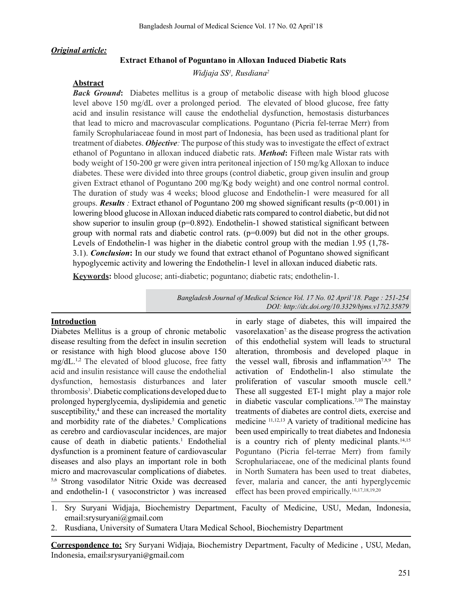#### *Original article:*

#### **Extract Ethanol of Poguntano in Alloxan Induced Diabetic Rats**

*Widjaja SS1 , Rusdiana2*

#### **Abstract**

*Back Ground*: Diabetes mellitus is a group of metabolic disease with high blood glucose level above 150 mg/dL over a prolonged period. The elevated of blood glucose, free fatty acid and insulin resistance will cause the endothelial dysfunction, hemostasis disturbances that lead to micro and macrovascular complications. Poguntano (Picria fel-terrae Merr) from family Scrophulariaceae found in most part of Indonesia, has been used as traditional plant for treatment of diabetes. *Objective:* The purpose of thisstudy wasto investigate the effect of extract ethanol of Poguntano in alloxan induced diabetic rats. *Method***:** Fifteen male Wistar rats with body weight of 150-200 gr were given intra peritoneal injection of 150 mg/kg Alloxan to induce diabetes. These were divided into three groups (control diabetic, group given insulin and group given Extract ethanol of Poguntano 200 mg/Kg body weight) and one control normal control. The duration of study was 4 weeks; blood glucose and Endothelin-1 were measured for all groups. *Results :* Extract ethanol of Poguntano 200 mg showed significant results (p<0.001) in lowering blood glucose inAlloxan induced diabetic rats compared to control diabetic, but did not show superior to insulin group ( $p=0.892$ ). Endothelin-1 showed statistical significant between group with normal rats and diabetic control rats.  $(p=0.009)$  but did not in the other groups. Levels of Endothelin-1 was higher in the diabetic control group with the median 1.95 (1,78- 3.1). *Conclusion***:** In our study we found that extract ethanol of Poguntano showed significant hypoglycemic activity and lowering the Endothelin-1 level in alloxan induced diabetic rats.

**Keywords:** blood glucose; anti-diabetic; poguntano; diabetic rats; endothelin-1.

*Bangladesh Journal of Medical Science Vol. 17 No. 02 April'18. Page : 251-254 DOI: http://dx.doi.org/10.3329/bjms.v17i2.35879* 

#### **Introduction**

Diabetes Mellitus is a group of chronic metabolic disease resulting from the defect in insulin secretion or resistance with high blood glucose above 150 mg/dL.1,2 The elevated of blood glucose, free fatty acid and insulin resistance will cause the endothelial dysfunction, hemostasis disturbances and later thrombosis<sup>3</sup>. Diabetic complications developed due to prolonged hyperglycemia, dyslipidemia and genetic susceptibility,<sup>4</sup> and these can increased the mortality and morbidity rate of the diabetes.<sup>3</sup> Complications as cerebro and cardiovascular incidences, are major cause of death in diabetic patients.<sup>1</sup> Endothelial dysfunction is a prominent feature of cardiovascular diseases and also plays an important role in both micro and macrovascular complications of diabetes. 5,6 Strong vasodilator Nitric Oxide was decreased and endothelin-1 ( vasoconstrictor ) was increased

in early stage of diabetes, this will impaired the vasorelaxation<sup>7</sup> as the disease progress the activation of this endothelial system will leads to structural alteration, thrombosis and developed plaque in the vessel wall, fibrosis and inflammation<sup>7,8,9</sup> The activation of Endothelin-1 also stimulate the proliferation of vascular smooth muscle cell.<sup>9</sup> These all suggested ET-1 might play a major role in diabetic vascular complications.7,10 The mainstay treatments of diabetes are control diets, exercise and medicine 11,12,13 A variety of traditional medicine has been used empirically to treat diabetes and Indonesia is a country rich of plenty medicinal plants. $14,15$ Poguntano (Picria fel-terrae Merr) from family Scrophulariaceae, one of the medicinal plants found in North Sumatera has been used to treat diabetes, fever, malaria and cancer, the anti hyperglycemic effect has been proved empirically.<sup>16,17,18,19,20</sup>

1. Sry Suryani Widjaja, Biochemistry Department, Faculty of Medicine, USU, Medan, Indonesia, email:srysuryani@gmail.com

2. Rusdiana, University of Sumatera Utara Medical School, Biochemistry Department

**Correspondence to:** Sry Suryani Widjaja, Biochemistry Department, Faculty of Medicine , USU, Medan, Indonesia, email:srysuryani@gmail.com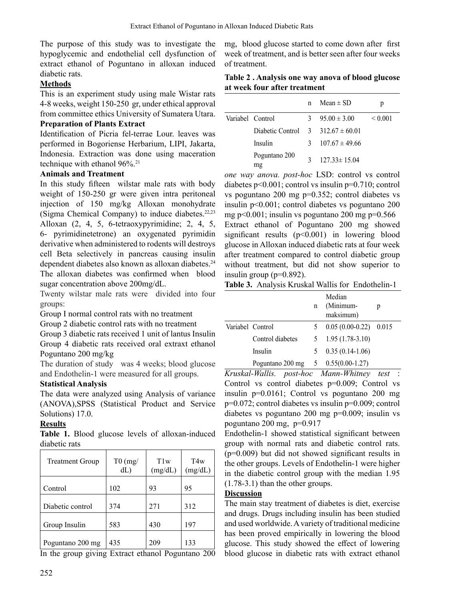The purpose of this study was to investigate the hypoglycemic and endothelial cell dysfunction of extract ethanol of Poguntano in alloxan induced diabetic rats.

# **Methods**

This is an experiment study using male Wistar rats 4-8 weeks, weight 150-250 gr, under ethical approval from committee ethics University of Sumatera Utara.

### **Preparation of Plants Extract**

Identification of Picria fel-terrae Lour. leaves was performed in Bogoriense Herbarium, LIPI, Jakarta, Indonesia. Extraction was done using maceration technique with ethanol  $96\%$ <sup>21</sup>

# **Animals and Treatment**

In this study fifteen wilstar male rats with body weight of 150-250 gr were given intra peritoneal injection of 150 mg/kg Alloxan monohydrate (Sigma Chemical Company) to induce diabetes. $22,23$ Alloxan (2, 4, 5, 6-tetraoxypyrimidine; 2, 4, 5, 6- pyrimidinetetrone) an oxygenated pyrimidin derivative when administered to rodents will destroys cell Beta selectively in pancreas causing insulin dependent diabetes also known as alloxan diabetes.<sup>24</sup> The alloxan diabetes was confirmed when blood sugar concentration above 200mg/dL.

Twenty wilstar male rats were divided into four groups:

Group I normal control rats with no treatment

Group 2 diabetic control rats with no treatment

Group 3 diabetic rats received 1 unit of lantus Insulin Group 4 diabetic rats received oral extraxt ethanol Poguntano 200 mg/kg

The duration of study was 4 weeks; blood glucose and Endothelin-1 were measured for all groups.

### **Statistical Analysis**

The data were analyzed using Analysis of variance (ANOVA),SPSS (Statistical Product and Service Solutions) 17.0.

# **Results**

**Table 1.** Blood glucose levels of alloxan-induced diabetic rats

| <b>Treatment Group</b> | $T0$ (mg/<br>dL | T1w<br>(mg/dL) | T4w<br>(mg/dL) |
|------------------------|-----------------|----------------|----------------|
| Control                | 102             | 93             | 95             |
| Diabetic control       | 374             | 271            | 312            |
| Group Insulin          | 583             | 430            | 197            |
| Poguntano 200 mg       | 435             | 209            | 133            |

In the group giving Extract ethanol Poguntano 200

mg, blood glucose started to come down after first week of treatment, and is better seen after four weeks of treatment.

| Table 2. Analysis one way anova of blood glucose |  |
|--------------------------------------------------|--|
| at week four after treatment                     |  |

|                  |                                              | n | Mean $\pm$ SD           |                   |
|------------------|----------------------------------------------|---|-------------------------|-------------------|
| Variabel Control |                                              |   | $3\quad 95.00 \pm 3.00$ | ${}_{\leq 0.001}$ |
|                  | Diabetic Control $3 \times 312.67 \pm 60.01$ |   |                         |                   |
|                  | Insulin                                      | 3 | $107.67 \pm 49.66$      |                   |
|                  | Poguntano 200<br>mg                          |   | $127.33 \pm 15.04$      |                   |

*one way anova. post-hoc* LSD: control vs control diabetes p<0.001; control vs insulin p=0.710; control vs poguntano 200 mg p=0.352; control diabetes vs insulin p<0.001; control diabetes vs poguntano 200 mg p<0.001; insulin vs poguntano 200 mg p= $0.566$ Extract ethanol of Poguntano 200 mg showed significant results (p<0.001) in lowering blood glucose in Alloxan induced diabetic rats at four week after treatment compared to control diabetic group without treatment, but did not show superior to insulin group (p=0.892).

**Table 3.** Analysis Kruskal Wallis for Endothelin-1

|                  |                  | $\mathbf n$ | Median<br>(Minimum-<br>maksimum) | p |
|------------------|------------------|-------------|----------------------------------|---|
| Variabel Control |                  |             | $0.05(0.00-0.22)$ 0.015          |   |
|                  | Control diabetes |             | $5\quad 1.95\ (1.78-3.10)$       |   |
|                  | Insulin          |             | $0.35(0.14-1.06)$                |   |
|                  | Poguntano 200 mg |             | $5 \quad 0.55(0.00-1.27)$        |   |

*Kruskal-Wallis. post-hoc Mann-Whitney test* : Control vs control diabetes p=0.009; Control vs insulin p=0.0161; Control vs poguntano 200 mg p=0.072; control diabetes vs insulin p=0.009; control diabetes vs poguntano 200 mg p=0.009; insulin vs poguntano 200 mg, p=0.917

Endothelin-1 showed statistical significant between group with normal rats and diabetic control rats. (p=0.009) but did not showed significant results in the other groups. Levels of Endothelin-1 were higher in the diabetic control group with the median 1.95 (1.78-3.1) than the other groups.

### **Discussion**

The main stay treatment of diabetes is diet, exercise and drugs. Drugs including insulin has been studied and used worldwide.Avariety of traditional medicine has been proved empirically in lowering the blood glucose. This study showed the effect of lowering blood glucose in diabetic rats with extract ethanol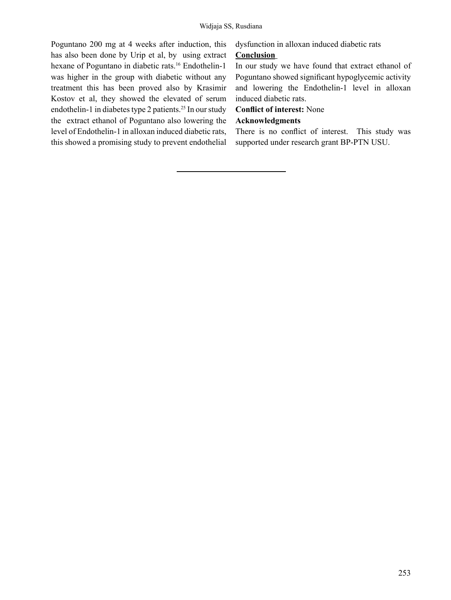Poguntano 200 mg at 4 weeks after induction, this has also been done by Urip et al, by using extract hexane of Poguntano in diabetic rats.<sup>16</sup> Endothelin-1 was higher in the group with diabetic without any treatment this has been proved also by Krasimir Kostov et al, they showed the elevated of serum endothelin-1 in diabetes type 2 patients.<sup>25</sup> In our study the extract ethanol of Poguntano also lowering the level of Endothelin-1 in alloxan induced diabetic rats, this showed a promising study to prevent endothelial dysfunction in alloxan induced diabetic rats

# **Conclusion**

In our study we have found that extract ethanol of Poguntano showed significant hypoglycemic activity and lowering the Endothelin-1 level in alloxan induced diabetic rats.

# **Conflict of interest:** None

# **Acknowledgments**

There is no conflict of interest. This study was supported under research grant BP-PTN USU.